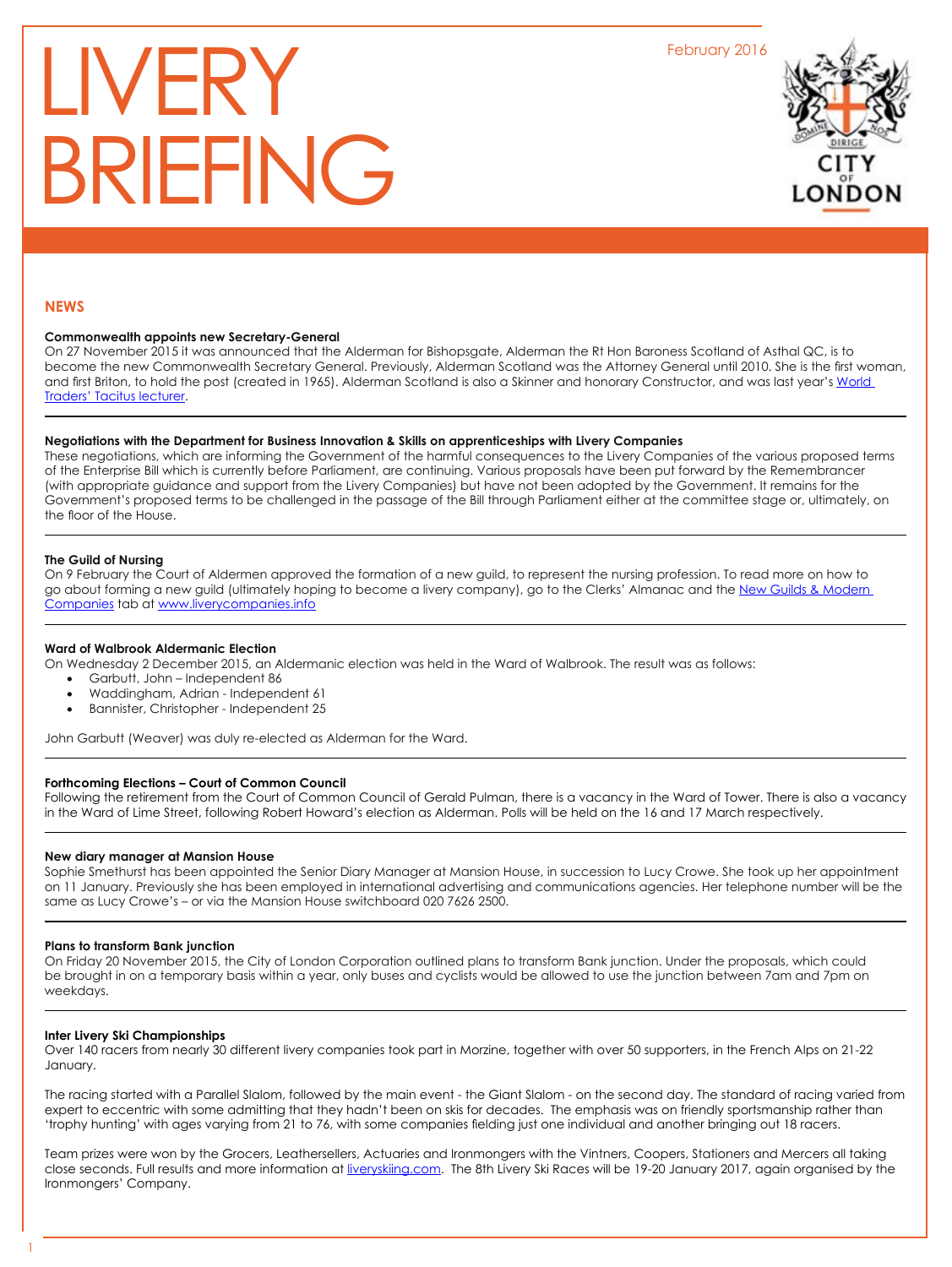February 2016

# LIVERY BRIEFING



#### **NEWS**

## **Commonwealth appoints new Secretary-General**

On 27 November 2015 it was announced that the Alderman for Bishopsgate, Alderman the Rt Hon Baroness Scotland of Asthal QC, is to become the new Commonwealth Secretary General. Previously, Alderman Scotland was the Attorney General until 2010. She is the first woman, and first Briton, to hold the post (created in 1965). Alderman Scotland is also a Skinner and honorary Constructor, and was last year's World [Traders' Tacitus lecturer](http://www.world-traders.org/tacitusPastLectures.php).

#### **Negotiations with the Department for Business Innovation & Skills on apprenticeships with Livery Companies**

These negotiations, which are informing the Government of the harmful consequences to the Livery Companies of the various proposed terms of the Enterprise Bill which is currently before Parliament, are continuing. Various proposals have been put forward by the Remembrancer (with appropriate guidance and support from the Livery Companies) but have not been adopted by the Government. It remains for the Government's proposed terms to be challenged in the passage of the Bill through Parliament either at the committee stage or, ultimately, on the floor of the House.

#### **The Guild of Nursing**

On 9 February the Court of Aldermen approved the formation of a new guild, to represent the nursing profession. To read more on how to go about forming a new guild (ultimately hoping to become a livery company), go to the Clerks' Almanac and the New Guilds & Modern [Companies](http://www.liverycompanies.info/fellowship-of-clerks/new-guilds--modern-companie/) tab at www.liverycompanies.info

## **Ward of Walbrook Aldermanic Election**

On Wednesday 2 December 2015, an Aldermanic election was held in the Ward of Walbrook. The result was as follows:

- Garbutt, John Independent 86
- Waddingham, Adrian Independent 61
- Bannister, Christopher Independent 25

John Garbutt (Weaver) was duly re-elected as Alderman for the Ward.

#### **Forthcoming Elections – Court of Common Council**

Following the retirement from the Court of Common Council of Gerald Pulman, there is a vacancy in the Ward of Tower. There is also a vacancy in the Ward of Lime Street, following Robert Howard's election as Alderman. Polls will be held on the 16 and 17 March respectively.

#### **New diary manager at Mansion House**

Sophie Smethurst has been appointed the Senior Diary Manager at Mansion House, in succession to Lucy Crowe. She took up her appointment on 11 January. Previously she has been employed in international advertising and communications agencies. Her telephone number will be the same as Lucy Crowe's – or via the Mansion House switchboard 020 7626 2500.

## **Plans to transform Bank junction**

On Friday 20 November 2015, the City of London Corporation outlined plans to transform Bank junction. Under the proposals, which could be brought in on a temporary basis within a year, only buses and cyclists would be allowed to use the junction between 7am and 7pm on weekdays.

#### **Inter Livery Ski Championships**

Over 140 racers from nearly 30 different livery companies took part in Morzine, together with over 50 supporters, in the French Alps on 21-22 January.

The racing started with a Parallel Slalom, followed by the main event - the Giant Slalom - on the second day. The standard of racing varied from expert to eccentric with some admitting that they hadn't been on skis for decades. The emphasis was on friendly sportsmanship rather than 'trophy hunting' with ages varying from 21 to 76, with some companies fielding just one individual and another bringing out 18 racers.

Team prizes were won by the Grocers, Leathersellers, Actuaries and Ironmongers with the Vintners, Coopers, Stationers and Mercers all taking close seconds. Full results and more information at [liveryskiing.com](http://liveryskiing.com/). The 8th Livery Ski Races will be 19-20 January 2017, again organised by the Ironmongers' Company.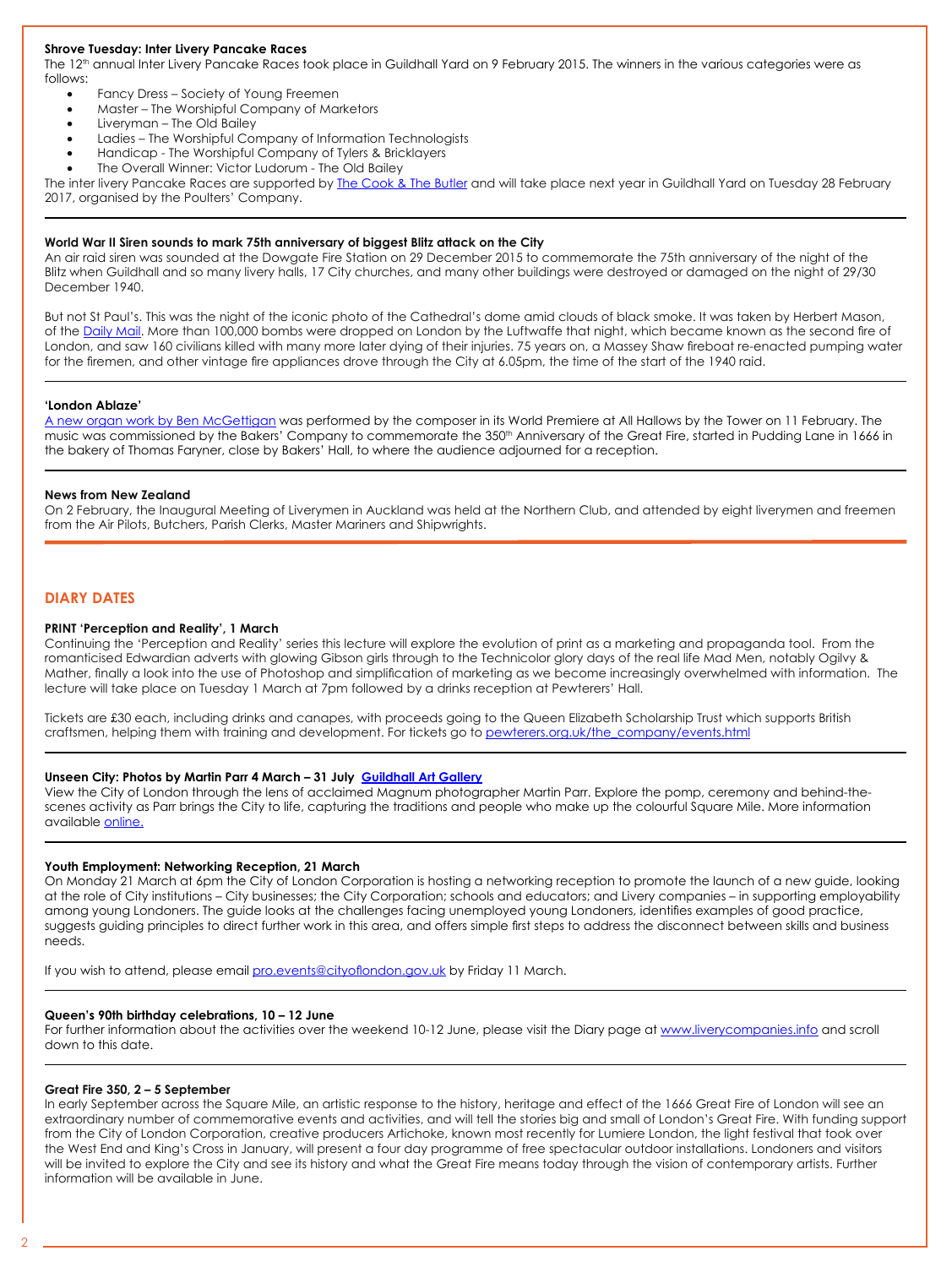## **Shrove Tuesday: Inter Livery Pancake Races**

The 12<sup>th</sup> annual Inter Livery Pancake Races took place in Guildhall Yard on 9 February 2015. The winners in the various categories were as follows:

- Fancy Dress Society of Young Freemen
- Master The Worshipful Company of Marketors
- Liveryman The Old Bailey
- Ladies The Worshipful Company of Information Technologists
- Handicap The Worshipful Company of Tylers & Bricklayers
- The Overall Winner: Victor Ludorum The Old Bailey

The inter livery Pancake Races are supported by [The Cook & The Butler](http://www.thecookandthebutler.co.uk/) and will take place next year in Guildhall Yard on Tuesday 28 February 2017, organised by the Poulters' Company.

# **World War II Siren sounds to mark 75th anniversary of biggest Blitz attack on the City**

An air raid siren was sounded at the Dowgate Fire Station on 29 December 2015 to commemorate the 75th anniversary of the night of the Blitz when Guildhall and so many livery halls, 17 City churches, and many other buildings were destroyed or damaged on the night of 29/30 December 1940.

But not St Paul's. This was the night of the iconic photo of the Cathedral's dome amid clouds of black smoke. It was taken by Herbert Mason, of the [Daily Mail](http://www.dailymail.co.uk/news/article-1342305/The-Blitzs-iconic-image-On-70th-anniversary-The-Mail-tells-story-picture-St-Pauls.html). More than 100,000 bombs were dropped on London by the Luftwaffe that night, which became known as the second fire of London, and saw 160 civilians killed with many more later dying of their injuries. 75 years on, a Massey Shaw fireboat re-enacted pumping water for the firemen, and other vintage fire appliances drove through the City at 6.05pm, the time of the start of the 1940 raid.

## **'London Ablaze'**

[A new organ work by Ben McGettigan](http://www.bakers.co.uk/News/New-Organ-Work-is-a-Blazing-Success.aspx) was performed by the composer in its World Premiere at All Hallows by the Tower on 11 February. The music was commissioned by the Bakers' Company to commemorate the 350<sup>th</sup> Anniversary of the Great Fire, started in Pudding Lane in 1666 in the bakery of Thomas Faryner, close by Bakers' Hall, to where the audience adjourned for a reception.

## **News from New Zealand**

On 2 February, the Inaugural Meeting of Liverymen in Auckland was held at the Northern Club, and attended by eight liverymen and freemen from the Air Pilots, Butchers, Parish Clerks, Master Mariners and Shipwrights.

## **DIARY DATES**

## **PRINT 'Perception and Reality', 1 March**

Continuing the 'Perception and Reality' series this lecture will explore the evolution of print as a marketing and propaganda tool. From the romanticised Edwardian adverts with glowing Gibson girls through to the Technicolor glory days of the real life Mad Men, notably Ogilvy & Mather, finally a look into the use of Photoshop and simplification of marketing as we become increasingly overwhelmed with information. The lecture will take place on Tuesday 1 March at 7pm followed by a drinks reception at Pewterers' Hall.

Tickets are £30 each, including drinks and canapes, with proceeds going to the Queen Elizabeth Scholarship Trust which supports British craftsmen, helping them with training and development. For tickets go to [pewterers.org.uk/the\\_company/events.html](http://pewterers.org.uk/the_company/events.html)

#### **Unseen City: Photos by Martin Parr 4 March – 31 July [Guildhall Art Gallery](https://www.google.co.uk/maps/place/Guildhall+Art+Gallery/@51.515285,-0.0940937,17z/data=!3m1!4b1!4m2!3m1!1s0x48761caacdd4933b:0x70a8013c8005694c)**

View the City of London through the lens of acclaimed Magnum photographer Martin Parr. Explore the pomp, ceremony and behind-thescenes activity as Parr brings the City to life, capturing the traditions and people who make up the colourful Square Mile. More information available online.

## **Youth Employment: Networking Reception, 21 March**

On Monday 21 March at 6pm the City of London Corporation is hosting a networking reception to promote the launch of a new guide, looking at the role of City institutions – City businesses; the City Corporation; schools and educators; and Livery companies – in supporting employability among young Londoners. The guide looks at the challenges facing unemployed young Londoners, identifies examples of good practice, suggests guiding principles to direct further work in this area, and offers simple first steps to address the disconnect between skills and business needs.

If you wish to attend, please email [pro.events@cityoflondon.gov.uk](mailto:pro.events@cityoflondon.gov.uk) by Friday 11 March.

#### **Queen's 90th birthday celebrations, 10 – 12 June**

For further information about the activities over the weekend 10-12 June, please visit the Diary page at [www.liverycompanies.info](http://www.liverycompanies.info) and scroll down to this date.

#### **Great Fire 350, 2 – 5 September**

In early September across the Square Mile, an artistic response to the history, heritage and effect of the 1666 Great Fire of London will see an extraordinary number of commemorative events and activities, and will tell the stories big and small of London's Great Fire. With funding support from the City of London Corporation, creative producers Artichoke, known most recently for Lumiere London, the light festival that took over the West End and King's Cross in January, will present a four day programme of free spectacular outdoor installations. Londoners and visitors will be invited to explore the City and see its history and what the Great Fire means today through the vision of contemporary artists. Further information will be available in June.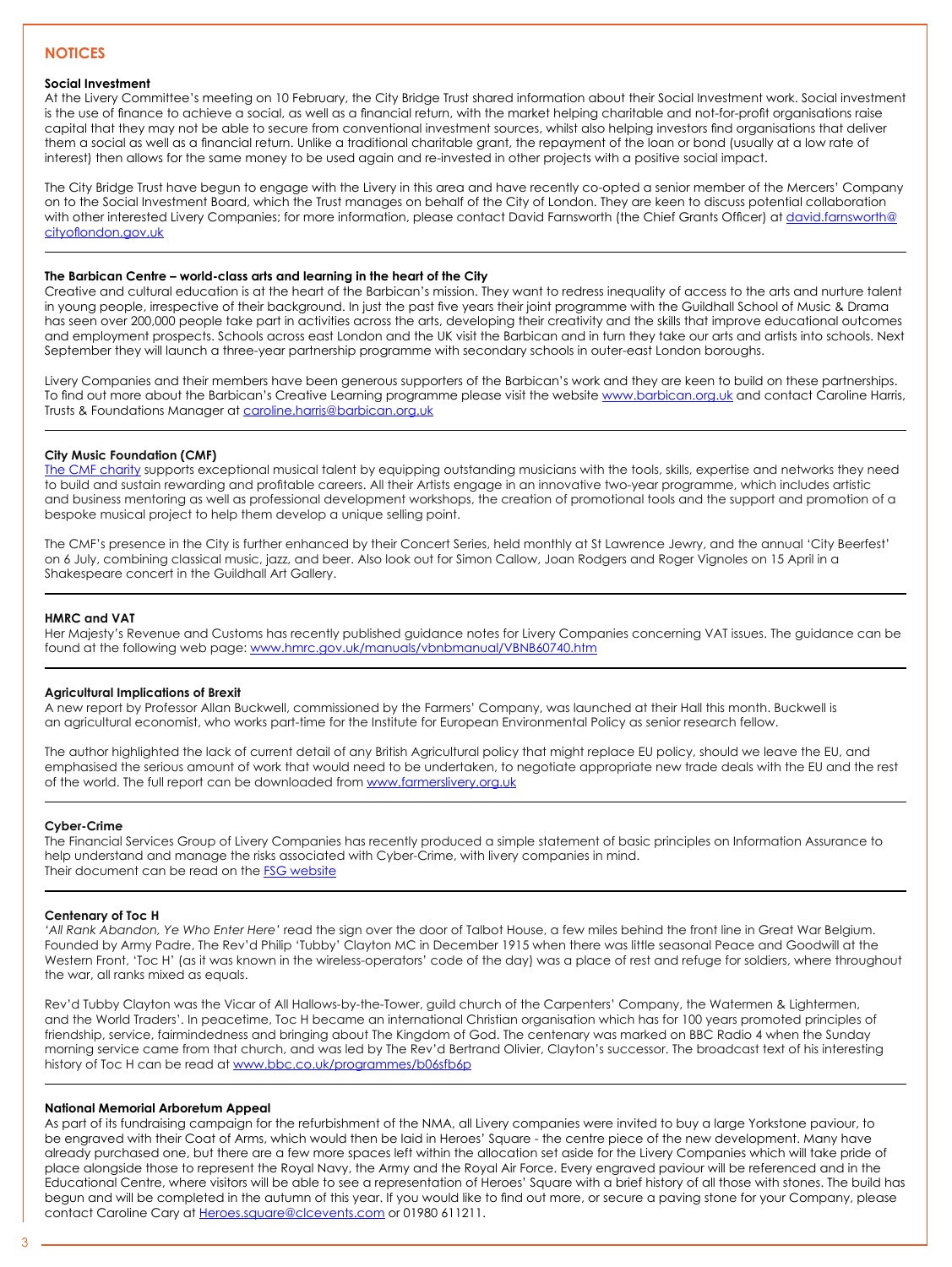# **NOTICES**

## **Social Investment**

At the Livery Committee's meeting on 10 February, the City Bridge Trust shared information about their Social Investment work. Social investment is the use of finance to achieve a social, as well as a financial return, with the market helping charitable and not-for-profit organisations raise capital that they may not be able to secure from conventional investment sources, whilst also helping investors find organisations that deliver them a social as well as a financial return. Unlike a traditional charitable grant, the repayment of the loan or bond (usually at a low rate of interest) then allows for the same money to be used again and re-invested in other projects with a positive social impact.

The City Bridge Trust have begun to engage with the Livery in this area and have recently co-opted a senior member of the Mercers' Company on to the Social Investment Board, which the Trust manages on behalf of the City of London. They are keen to discuss potential collaboration with other interested Livery Companies; for more information, please contact David Farnsworth (the Chief Grants Officer) at *[david.farnsworth@](mailto:david.farnsworth@cityoflondon.gov.uk)* [cityoflondon.gov.uk](mailto:david.farnsworth@cityoflondon.gov.uk)

## **The Barbican Centre – world-class arts and learning in the heart of the City**

Creative and cultural education is at the heart of the Barbican's mission. They want to redress inequality of access to the arts and nurture talent in young people, irrespective of their background. In just the past five years their joint programme with the Guildhall School of Music & Drama has seen over 200,000 people take part in activities across the arts, developing their creativity and the skills that improve educational outcomes and employment prospects. Schools across east London and the UK visit the Barbican and in turn they take our arts and artists into schools. Next September they will launch a three-year partnership programme with secondary schools in outer-east London boroughs.

Livery Companies and their members have been generous supporters of the Barbican's work and they are keen to build on these partnerships. To find out more about the Barbican's Creative Learning programme please visit the website [www.barbican.org.uk](http://www.liverycompanies.info/diary--news/%20193) and contact Caroline Harris, Trusts & Foundations Manager at [caroline.harris@barbican.org.uk](mailto:caroline.harris@barbican.org.uk)

## **City Music Foundation (CMF)**

[The CMF charity](http://www.citymusicfoundation.org/about-cmf/) supports exceptional musical talent by equipping outstanding musicians with the tools, skills, expertise and networks they need to build and sustain rewarding and profitable careers. All their Artists engage in an innovative two-year programme, which includes artistic and business mentoring as well as professional development workshops, the creation of promotional tools and the support and promotion of a bespoke musical project to help them develop a unique selling point.

The CMF's presence in the City is further enhanced by their Concert Series, held monthly at St Lawrence Jewry, and the annual 'City Beerfest' on 6 July, combining classical music, jazz, and beer. Also look out for Simon Callow, Joan Rodgers and Roger Vignoles on 15 April in a Shakespeare concert in the Guildhall Art Gallery.

## **HMRC and VAT**

Her Majesty's Revenue and Customs has recently published guidance notes for Livery Companies concerning VAT issues. The guidance can be found at the following web page: [www.hmrc.gov.uk/manuals/vbnbmanual/VBNB60740.htm](http://www.hmrc.gov.uk/manuals/vbnbmanual/VBNB60740.htm)

## **Agricultural Implications of Brexit**

A new report by Professor Allan Buckwell, commissioned by the Farmers' Company, was launched at their Hall this month. Buckwell is an agricultural economist, who works part-time for the Institute for European Environmental Policy as senior research fellow.

The author highlighted the lack of current detail of any British Agricultural policy that might replace EU policy, should we leave the EU, and emphasised the serious amount of work that would need to be undertaken, to negotiate appropriate new trade deals with the EU and the rest of the world. The full report can be downloaded from [www.farmersliv](http://www.farmerslivery.org.uk/news-events/events/launch-of-the-report-on-the-possible-agricultural-implications-of-brexit-monday-february-7th-2016)ery.org.uk

## **Cyber-Crime**

The Financial Services Group of Livery Companies has recently produced a simple statement of basic principles on Information Assurance to help understand and manage the risks associated with Cyber-Crime, with livery companies in mind. Their document can be read on the **[FSG website](http://www.liveryfsg.org.uk/res/InfoAssurGuide11.15.pdf)** 

#### **Centenary of Toc H**

*'All Rank Abandon, Ye Who Enter Here'* read the sign over the door of Talbot House, a few miles behind the front line in Great War Belgium. Founded by Army Padre, The Rev'd Philip 'Tubby' Clayton MC in December 1915 when there was little seasonal Peace and Goodwill at the Western Front, 'Toc H' (as it was known in the wireless-operators' code of the day) was a place of rest and refuge for soldiers, where throughout the war, all ranks mixed as equals.

Rev'd Tubby Clayton was the Vicar of All Hallows-by-the-Tower, guild church of the Carpenters' Company, the Watermen & Lightermen, and the World Traders'. In peacetime, Toc H became an international Christian organisation which has for 100 years promoted principles of friendship, service, fairmindedness and bringing about The Kingdom of God. The centenary was marked on BBC Radio 4 when the Sunday morning service came from that church, and was led by The Rev'd Bertrand Olivier, Clayton's successor. The broadcast text of his interesting history of Toc H can be read at [www.bbc.co.uk/programmes/b06sfb6p](http://www.bbc.co.uk/programmes/b06sfb6p)

#### **National Memorial Arboretum Appeal**

As part of its fundraising campaign for the refurbishment of the NMA, all Livery companies were invited to buy a large Yorkstone paviour, to be engraved with their Coat of Arms, which would then be laid in Heroes' Square - the centre piece of the new development. Many have already purchased one, but there are a few more spaces left within the allocation set aside for the Livery Companies which will take pride of place alongside those to represent the Royal Navy, the Army and the Royal Air Force. Every engraved paviour will be referenced and in the Educational Centre, where visitors will be able to see a representation of Heroes' Square with a brief history of all those with stones. The build has begun and will be completed in the autumn of this year. If you would like to find out more, or secure a paving stone for your Company, please contact Caroline Cary at [Heroes.square@clcevents.com](mailto:Heroes.square@clcevents.com) or 01980 611211.